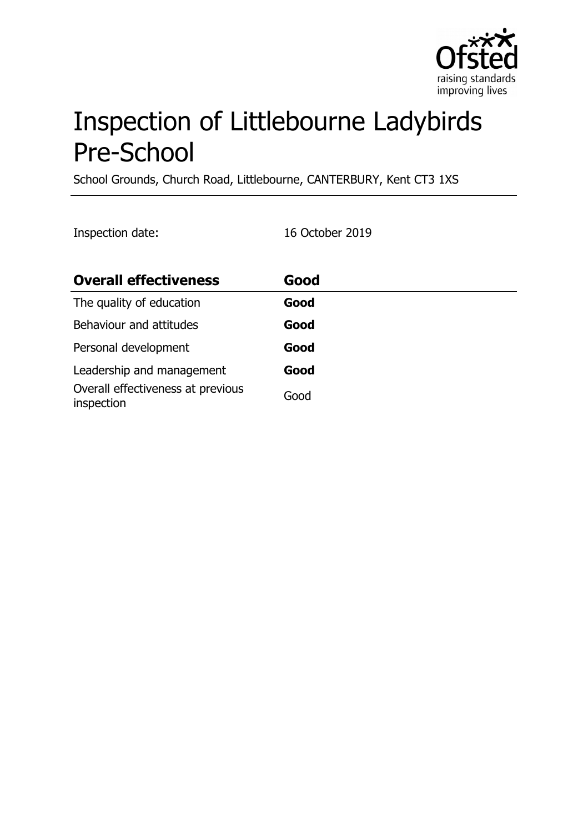

# Inspection of Littlebourne Ladybirds Pre-School

School Grounds, Church Road, Littlebourne, CANTERBURY, Kent CT3 1XS

Inspection date: 16 October 2019

| <b>Overall effectiveness</b>                    | Good |
|-------------------------------------------------|------|
| The quality of education                        | Good |
| Behaviour and attitudes                         | Good |
| Personal development                            | Good |
| Leadership and management                       | Good |
| Overall effectiveness at previous<br>inspection | Good |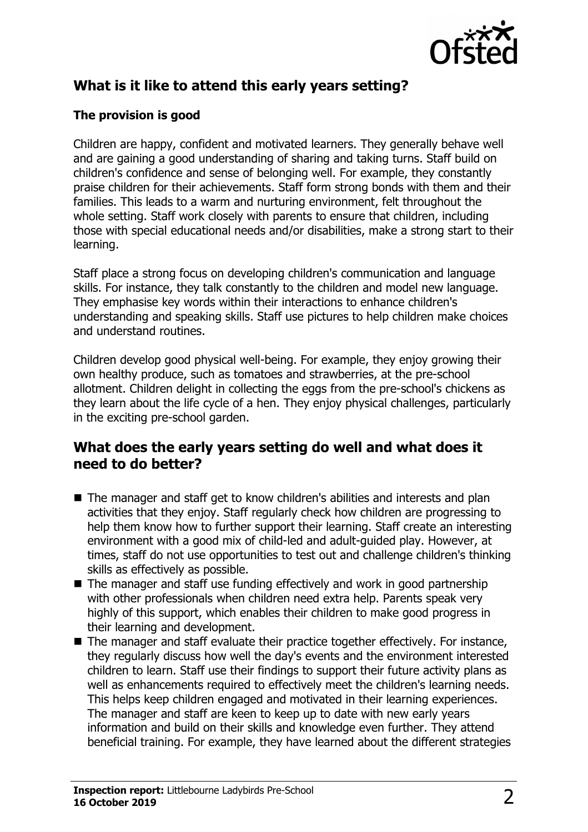

# **What is it like to attend this early years setting?**

## **The provision is good**

Children are happy, confident and motivated learners. They generally behave well and are gaining a good understanding of sharing and taking turns. Staff build on children's confidence and sense of belonging well. For example, they constantly praise children for their achievements. Staff form strong bonds with them and their families. This leads to a warm and nurturing environment, felt throughout the whole setting. Staff work closely with parents to ensure that children, including those with special educational needs and/or disabilities, make a strong start to their learning.

Staff place a strong focus on developing children's communication and language skills. For instance, they talk constantly to the children and model new language. They emphasise key words within their interactions to enhance children's understanding and speaking skills. Staff use pictures to help children make choices and understand routines.

Children develop good physical well-being. For example, they enjoy growing their own healthy produce, such as tomatoes and strawberries, at the pre-school allotment. Children delight in collecting the eggs from the pre-school's chickens as they learn about the life cycle of a hen. They enjoy physical challenges, particularly in the exciting pre-school garden.

## **What does the early years setting do well and what does it need to do better?**

- $\blacksquare$  The manager and staff get to know children's abilities and interests and plan activities that they enjoy. Staff regularly check how children are progressing to help them know how to further support their learning. Staff create an interesting environment with a good mix of child-led and adult-guided play. However, at times, staff do not use opportunities to test out and challenge children's thinking skills as effectively as possible.
- $\blacksquare$  The manager and staff use funding effectively and work in good partnership with other professionals when children need extra help. Parents speak very highly of this support, which enables their children to make good progress in their learning and development.
- $\blacksquare$  The manager and staff evaluate their practice together effectively. For instance, they regularly discuss how well the day's events and the environment interested children to learn. Staff use their findings to support their future activity plans as well as enhancements required to effectively meet the children's learning needs. This helps keep children engaged and motivated in their learning experiences. The manager and staff are keen to keep up to date with new early years information and build on their skills and knowledge even further. They attend beneficial training. For example, they have learned about the different strategies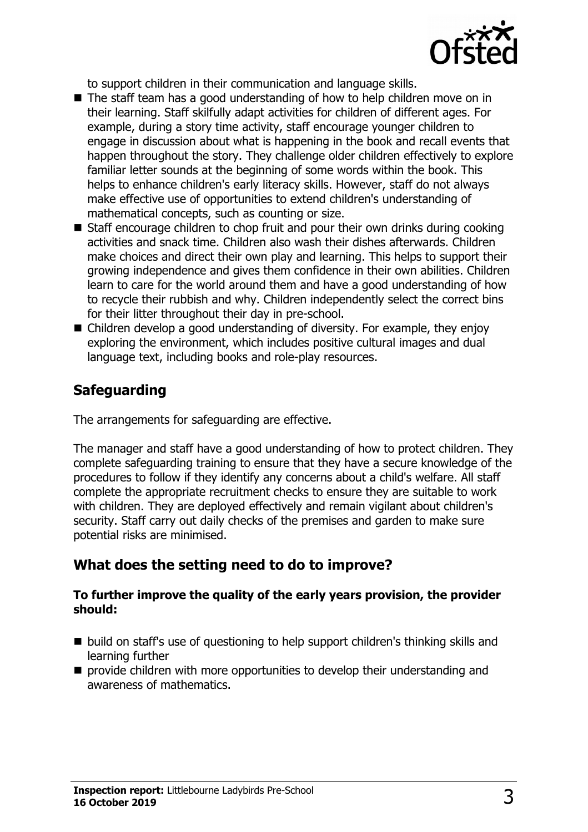

to support children in their communication and language skills.

- $\blacksquare$  The staff team has a good understanding of how to help children move on in their learning. Staff skilfully adapt activities for children of different ages. For example, during a story time activity, staff encourage younger children to engage in discussion about what is happening in the book and recall events that happen throughout the story. They challenge older children effectively to explore familiar letter sounds at the beginning of some words within the book. This helps to enhance children's early literacy skills. However, staff do not always make effective use of opportunities to extend children's understanding of mathematical concepts, such as counting or size.
- $\blacksquare$  Staff encourage children to chop fruit and pour their own drinks during cooking activities and snack time. Children also wash their dishes afterwards. Children make choices and direct their own play and learning. This helps to support their growing independence and gives them confidence in their own abilities. Children learn to care for the world around them and have a good understanding of how to recycle their rubbish and why. Children independently select the correct bins for their litter throughout their day in pre-school.
- $\blacksquare$  Children develop a good understanding of diversity. For example, they enjoy exploring the environment, which includes positive cultural images and dual language text, including books and role-play resources.

## **Safeguarding**

The arrangements for safeguarding are effective.

The manager and staff have a good understanding of how to protect children. They complete safeguarding training to ensure that they have a secure knowledge of the procedures to follow if they identify any concerns about a child's welfare. All staff complete the appropriate recruitment checks to ensure they are suitable to work with children. They are deployed effectively and remain vigilant about children's security. Staff carry out daily checks of the premises and garden to make sure potential risks are minimised.

## **What does the setting need to do to improve?**

#### **To further improve the quality of the early years provision, the provider should:**

- $\blacksquare$  build on staff's use of questioning to help support children's thinking skills and learning further
- $\blacksquare$  provide children with more opportunities to develop their understanding and awareness of mathematics.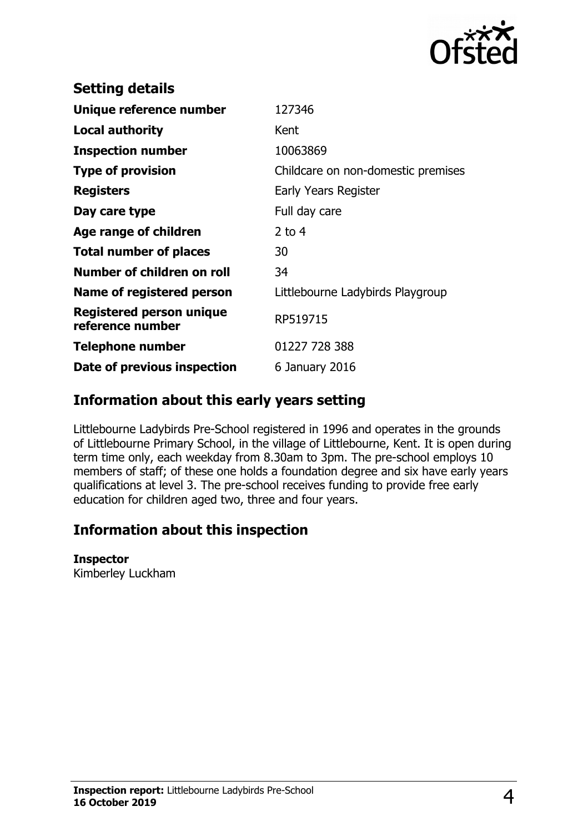

| <b>Setting details</b>                              |                                    |
|-----------------------------------------------------|------------------------------------|
| Unique reference number                             | 127346                             |
| Local authority                                     | Kent                               |
| <b>Inspection number</b>                            | 10063869                           |
| <b>Type of provision</b>                            | Childcare on non-domestic premises |
| <b>Registers</b>                                    | Early Years Register               |
| Day care type                                       | Full day care                      |
| Age range of children                               | $2$ to 4                           |
| <b>Total number of places</b>                       | 30                                 |
| Number of children on roll                          | 34                                 |
| Name of registered person                           | Littlebourne Ladybirds Playgroup   |
| <b>Registered person unique</b><br>reference number | RP519715                           |
| Telephone number                                    | 01227 728 388                      |
| Date of previous inspection                         | 6 January 2016                     |
|                                                     |                                    |

## **Information about this early years setting**

Littlebourne Ladybirds Pre-School registered in 1996 and operates in the grounds of Littlebourne Primary School, in the village of Littlebourne, Kent. It is open during term time only, each weekday from 8.30am to 3pm. The pre-school employs 10 members of staff; of these one holds a foundation degree and six have early years qualifications at level 3. The pre-school receives funding to provide free early education for children aged two, three and four years.

## **Information about this inspection**

#### **Inspector**

Kimberley Luckham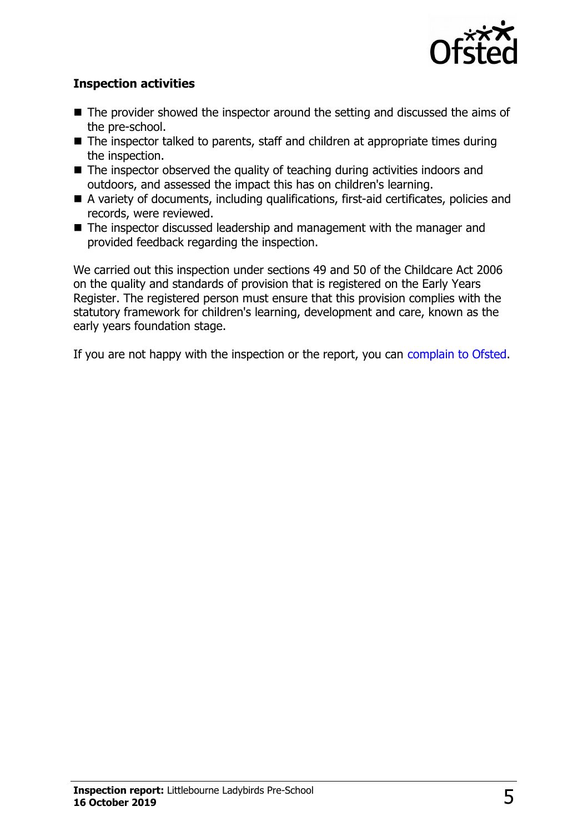

### **Inspection activities**

- $\blacksquare$  The provider showed the inspector around the setting and discussed the aims of the pre-school.
- $\blacksquare$  The inspector talked to parents, staff and children at appropriate times during the inspection.
- $\blacksquare$  The inspector observed the quality of teaching during activities indoors and outdoors, and assessed the impact this has on children's learning.
- A variety of documents, including qualifications, first-aid certificates, policies and records, were reviewed.
- The inspector discussed leadership and management with the manager and provided feedback regarding the inspection.

We carried out this inspection under sections 49 and 50 of the Childcare Act 2006 on the quality and standards of provision that is registered on the Early Years Register. The registered person must ensure that this provision complies with the statutory framework for children's learning, development and care, known as the early years foundation stage.

If you are not happy with the inspection or the report, you can [complain to Ofsted.](http://www.gov.uk/complain-ofsted-report)